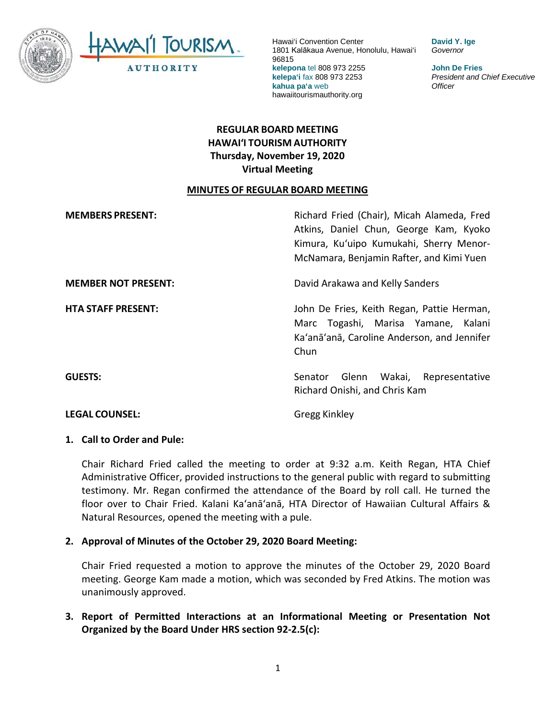

**David Y. Ige** *Governor*

**John De Fries** *President and Chief Executive Officer*

# **REGULAR BOARD MEETING HAWAI'I TOURISM AUTHORITY Thursday, November 19, 2020 Virtual Meeting**

### **MINUTES OF REGULAR BOARD MEETING**

**MEMBERS PRESENT:** Richard Fried (Chair), Micah Alameda, Fred Atkins, Daniel Chun, George Kam, Kyoko Kimura, Kuʻuipo Kumukahi, Sherry Menor-McNamara, Benjamin Rafter, and Kimi Yuen **MEMBER NOT PRESENT:** David Arakawa and Kelly Sanders **HTA STAFF PRESENT:** John De Fries, Keith Regan, Pattie Herman, Marc Togashi, Marisa Yamane, Kalani Ka'anā'anā, Caroline Anderson, and Jennifer Chun **GUESTS:** Senator Glenn Wakai, Representative Richard Onishi, and Chris Kam

**LEGAL COUNSEL:** Gregg Kinkley

### **1. Call to Order and Pule:**

Chair Richard Fried called the meeting to order at 9:32 a.m. Keith Regan, HTA Chief Administrative Officer, provided instructions to the general public with regard to submitting testimony. Mr. Regan confirmed the attendance of the Board by roll call. He turned the floor over to Chair Fried. Kalani Ka'anā'anā, HTA Director of Hawaiian Cultural Affairs & Natural Resources, opened the meeting with a pule.

### **2. Approval of Minutes of the October 29, 2020 Board Meeting:**

Chair Fried requested a motion to approve the minutes of the October 29, 2020 Board meeting. George Kam made a motion, which was seconded by Fred Atkins. The motion was unanimously approved.

**3. Report of Permitted Interactions at an Informational Meeting or Presentation Not Organized by the Board Under HRS section 92-2.5(c):**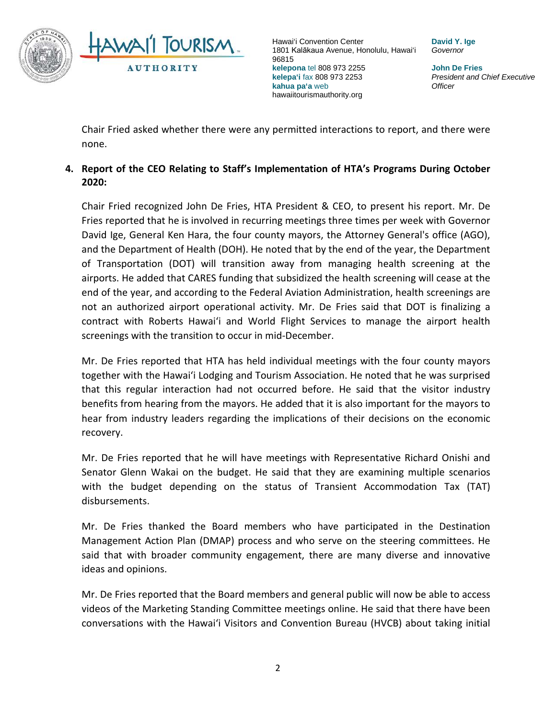

**David Y. Ige** *Governor*

**John De Fries** *President and Chief Executive Officer*

Chair Fried asked whether there were any permitted interactions to report, and there were none.

## **4. Report of the CEO Relating to Staff's Implementation of HTA's Programs During October 2020:**

Chair Fried recognized John De Fries, HTA President & CEO, to present his report. Mr. De Fries reported that he is involved in recurring meetings three times per week with Governor David Ige, General Ken Hara, the four county mayors, the Attorney General's office (AGO), and the Department of Health (DOH). He noted that by the end of the year, the Department of Transportation (DOT) will transition away from managing health screening at the airports. He added that CARES funding that subsidized the health screening will cease at the end of the year, and according to the Federal Aviation Administration, health screenings are not an authorized airport operational activity. Mr. De Fries said that DOT is finalizing a contract with Roberts Hawai'i and World Flight Services to manage the airport health screenings with the transition to occur in mid-December.

Mr. De Fries reported that HTA has held individual meetings with the four county mayors together with the Hawai'i Lodging and Tourism Association. He noted that he was surprised that this regular interaction had not occurred before. He said that the visitor industry benefits from hearing from the mayors. He added that it is also important for the mayors to hear from industry leaders regarding the implications of their decisions on the economic recovery.

Mr. De Fries reported that he will have meetings with Representative Richard Onishi and Senator Glenn Wakai on the budget. He said that they are examining multiple scenarios with the budget depending on the status of Transient Accommodation Tax (TAT) disbursements.

Mr. De Fries thanked the Board members who have participated in the Destination Management Action Plan (DMAP) process and who serve on the steering committees. He said that with broader community engagement, there are many diverse and innovative ideas and opinions.

Mr. De Fries reported that the Board members and general public will now be able to access videos of the Marketing Standing Committee meetings online. He said that there have been conversations with the Hawai'i Visitors and Convention Bureau (HVCB) about taking initial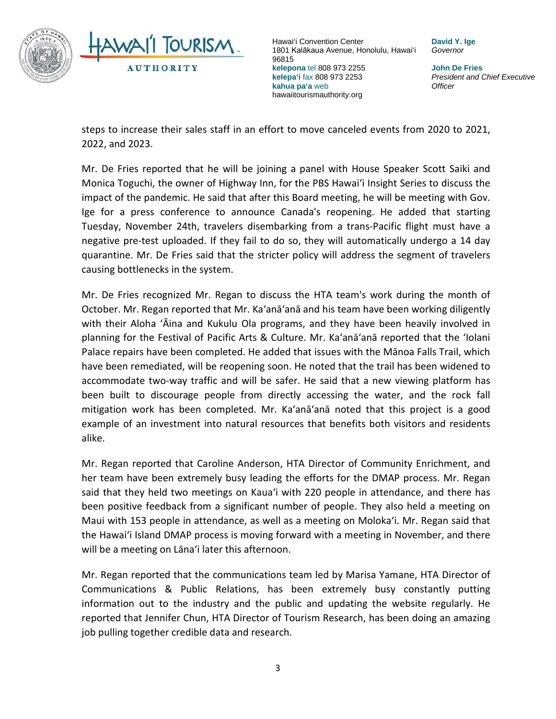

**David Y. Ige** *Governor*

**John De Fries** *President and Chief Executive Officer*

steps to increase their sales staff in an effort to move canceled events from 2020 to 2021, 2022, and 2023.

Mr. De Fries reported that he will be joining a panel with House Speaker Scott Saiki and Monica Toguchi, the owner of Highway Inn, for the PBS Hawai'i Insight Series to discuss the impact of the pandemic. He said that after this Board meeting, he will be meeting with Gov. Ige for a press conference to announce Canada's reopening. He added that starting Tuesday, November 24th, travelers disembarking from a trans-Pacific flight must have a negative pre-test uploaded. If they fail to do so, they will automatically undergo a 14 day quarantine. Mr. De Fries said that the stricter policy will address the segment of travelers causing bottlenecks in the system.

Mr. De Fries recognized Mr. Regan to discuss the HTA team's work during the month of October. Mr. Regan reported that Mr. Ka'anā'anā and his team have been working diligently with their Aloha 'Āina and Kukulu Ola programs, and they have been heavily involved in planning for the Festival of Pacific Arts & Culture. Mr. Ka'anā'anā reported that the 'Iolani Palace repairs have been completed. He added that issues with the Mānoa Falls Trail, which have been remediated, will be reopening soon. He noted that the trail has been widened to accommodate two-way traffic and will be safer. He said that a new viewing platform has been built to discourage people from directly accessing the water, and the rock fall mitigation work has been completed. Mr. Ka'anā'anā noted that this project is a good example of an investment into natural resources that benefits both visitors and residents alike.

Mr. Regan reported that Caroline Anderson, HTA Director of Community Enrichment, and her team have been extremely busy leading the efforts for the DMAP process. Mr. Regan said that they held two meetings on Kauaʻi with 220 people in attendance, and there has been positive feedback from a significant number of people. They also held a meeting on Maui with 153 people in attendance, as well as a meeting on Moloka'i. Mr. Regan said that the Hawai'i Island DMAP process is moving forward with a meeting in November, and there will be a meeting on Lāna'i later this afternoon.

Mr. Regan reported that the communications team led by Marisa Yamane, HTA Director of Communications & Public Relations, has been extremely busy constantly putting information out to the industry and the public and updating the website regularly. He reported that Jennifer Chun, HTA Director of Tourism Research, has been doing an amazing job pulling together credible data and research.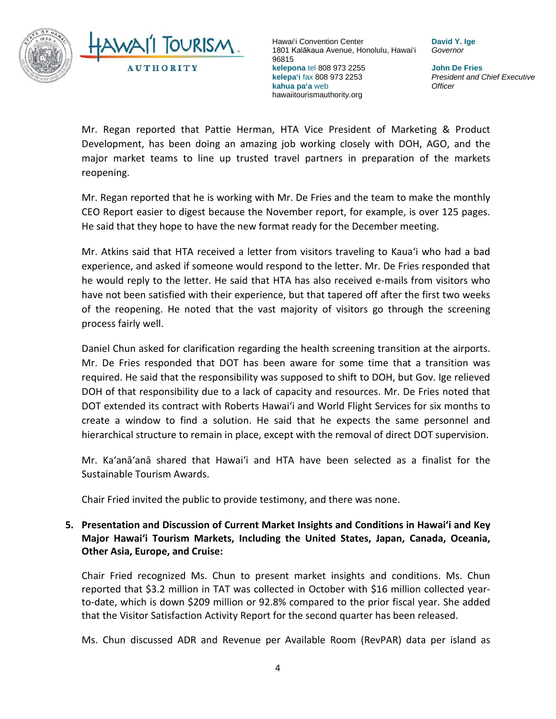

**David Y. Ige** *Governor*

**John De Fries** *President and Chief Executive Officer*

Mr. Regan reported that Pattie Herman, HTA Vice President of Marketing & Product Development, has been doing an amazing job working closely with DOH, AGO, and the major market teams to line up trusted travel partners in preparation of the markets reopening.

Mr. Regan reported that he is working with Mr. De Fries and the team to make the monthly CEO Report easier to digest because the November report, for example, is over 125 pages. He said that they hope to have the new format ready for the December meeting.

Mr. Atkins said that HTA received a letter from visitors traveling to Kauaʻi who had a bad experience, and asked if someone would respond to the letter. Mr. De Fries responded that he would reply to the letter. He said that HTA has also received e-mails from visitors who have not been satisfied with their experience, but that tapered off after the first two weeks of the reopening. He noted that the vast majority of visitors go through the screening process fairly well.

Daniel Chun asked for clarification regarding the health screening transition at the airports. Mr. De Fries responded that DOT has been aware for some time that a transition was required. He said that the responsibility was supposed to shift to DOH, but Gov. Ige relieved DOH of that responsibility due to a lack of capacity and resources. Mr. De Fries noted that DOT extended its contract with Roberts Hawai'i and World Flight Services for six months to create a window to find a solution. He said that he expects the same personnel and hierarchical structure to remain in place, except with the removal of direct DOT supervision.

Mr. Ka'anā'anā shared that Hawai'i and HTA have been selected as a finalist for the Sustainable Tourism Awards.

Chair Fried invited the public to provide testimony, and there was none.

### **5. Presentation and Discussion of Current Market Insights and Conditions in Hawai'i and Key Major Hawai'i Tourism Markets, Including the United States, Japan, Canada, Oceania, Other Asia, Europe, and Cruise:**

Chair Fried recognized Ms. Chun to present market insights and conditions. Ms. Chun reported that \$3.2 million in TAT was collected in October with \$16 million collected yearto-date, which is down \$209 million or 92.8% compared to the prior fiscal year. She added that the Visitor Satisfaction Activity Report for the second quarter has been released.

Ms. Chun discussed ADR and Revenue per Available Room (RevPAR) data per island as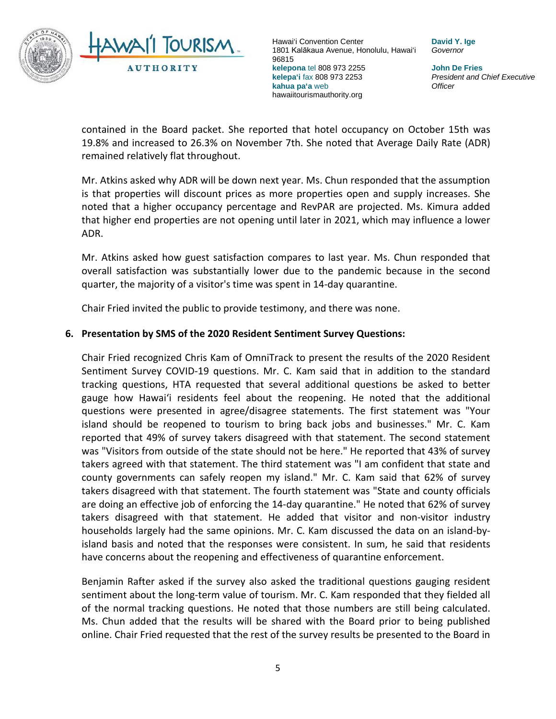

**David Y. Ige** *Governor*

**John De Fries** *President and Chief Executive Officer*

contained in the Board packet. She reported that hotel occupancy on October 15th was 19.8% and increased to 26.3% on November 7th. She noted that Average Daily Rate (ADR) remained relatively flat throughout.

Mr. Atkins asked why ADR will be down next year. Ms. Chun responded that the assumption is that properties will discount prices as more properties open and supply increases. She noted that a higher occupancy percentage and RevPAR are projected. Ms. Kimura added that higher end properties are not opening until later in 2021, which may influence a lower ADR.

Mr. Atkins asked how guest satisfaction compares to last year. Ms. Chun responded that overall satisfaction was substantially lower due to the pandemic because in the second quarter, the majority of a visitor's time was spent in 14-day quarantine.

Chair Fried invited the public to provide testimony, and there was none.

### **6. Presentation by SMS of the 2020 Resident Sentiment Survey Questions:**

Chair Fried recognized Chris Kam of OmniTrack to present the results of the 2020 Resident Sentiment Survey COVID-19 questions. Mr. C. Kam said that in addition to the standard tracking questions, HTA requested that several additional questions be asked to better gauge how Hawai'i residents feel about the reopening. He noted that the additional questions were presented in agree/disagree statements. The first statement was "Your island should be reopened to tourism to bring back jobs and businesses." Mr. C. Kam reported that 49% of survey takers disagreed with that statement. The second statement was "Visitors from outside of the state should not be here." He reported that 43% of survey takers agreed with that statement. The third statement was "I am confident that state and county governments can safely reopen my island." Mr. C. Kam said that 62% of survey takers disagreed with that statement. The fourth statement was "State and county officials are doing an effective job of enforcing the 14-day quarantine." He noted that 62% of survey takers disagreed with that statement. He added that visitor and non-visitor industry households largely had the same opinions. Mr. C. Kam discussed the data on an island-byisland basis and noted that the responses were consistent. In sum, he said that residents have concerns about the reopening and effectiveness of quarantine enforcement.

Benjamin Rafter asked if the survey also asked the traditional questions gauging resident sentiment about the long-term value of tourism. Mr. C. Kam responded that they fielded all of the normal tracking questions. He noted that those numbers are still being calculated. Ms. Chun added that the results will be shared with the Board prior to being published online. Chair Fried requested that the rest of the survey results be presented to the Board in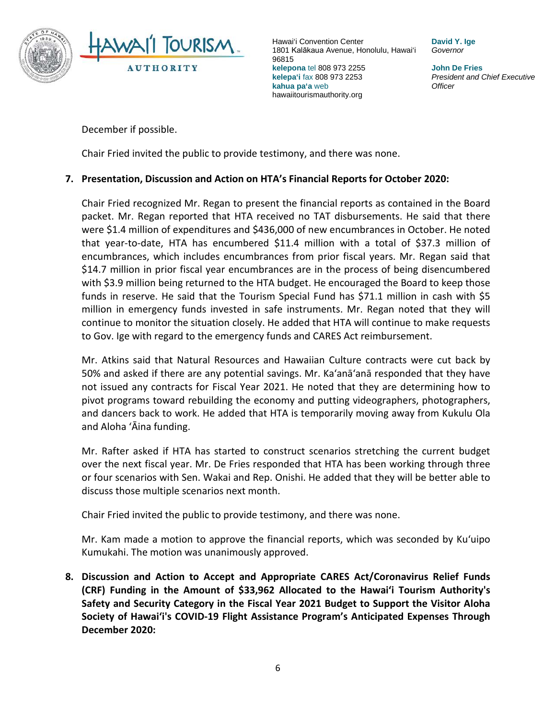

**David Y. Ige** *Governor*

**John De Fries** *President and Chief Executive Officer*

December if possible.

Chair Fried invited the public to provide testimony, and there was none.

### **7. Presentation, Discussion and Action on HTA's Financial Reports for October 2020:**

Chair Fried recognized Mr. Regan to present the financial reports as contained in the Board packet. Mr. Regan reported that HTA received no TAT disbursements. He said that there were \$1.4 million of expenditures and \$436,000 of new encumbrances in October. He noted that year-to-date, HTA has encumbered \$11.4 million with a total of \$37.3 million of encumbrances, which includes encumbrances from prior fiscal years. Mr. Regan said that \$14.7 million in prior fiscal year encumbrances are in the process of being disencumbered with \$3.9 million being returned to the HTA budget. He encouraged the Board to keep those funds in reserve. He said that the Tourism Special Fund has \$71.1 million in cash with \$5 million in emergency funds invested in safe instruments. Mr. Regan noted that they will continue to monitor the situation closely. He added that HTA will continue to make requests to Gov. Ige with regard to the emergency funds and CARES Act reimbursement.

Mr. Atkins said that Natural Resources and Hawaiian Culture contracts were cut back by 50% and asked if there are any potential savings. Mr. Ka'anā'anā responded that they have not issued any contracts for Fiscal Year 2021. He noted that they are determining how to pivot programs toward rebuilding the economy and putting videographers, photographers, and dancers back to work. He added that HTA is temporarily moving away from Kukulu Ola and Aloha 'Āina funding.

Mr. Rafter asked if HTA has started to construct scenarios stretching the current budget over the next fiscal year. Mr. De Fries responded that HTA has been working through three or four scenarios with Sen. Wakai and Rep. Onishi. He added that they will be better able to discuss those multiple scenarios next month.

Chair Fried invited the public to provide testimony, and there was none.

Mr. Kam made a motion to approve the financial reports, which was seconded by Ku'uipo Kumukahi. The motion was unanimously approved.

**8. Discussion and Action to Accept and Appropriate CARES Act/Coronavirus Relief Funds (CRF) Funding in the Amount of \$33,962 Allocated to the Hawai'i Tourism Authority's Safety and Security Category in the Fiscal Year 2021 Budget to Support the Visitor Aloha Society of Hawai'i's COVID-19 Flight Assistance Program's Anticipated Expenses Through December 2020:**